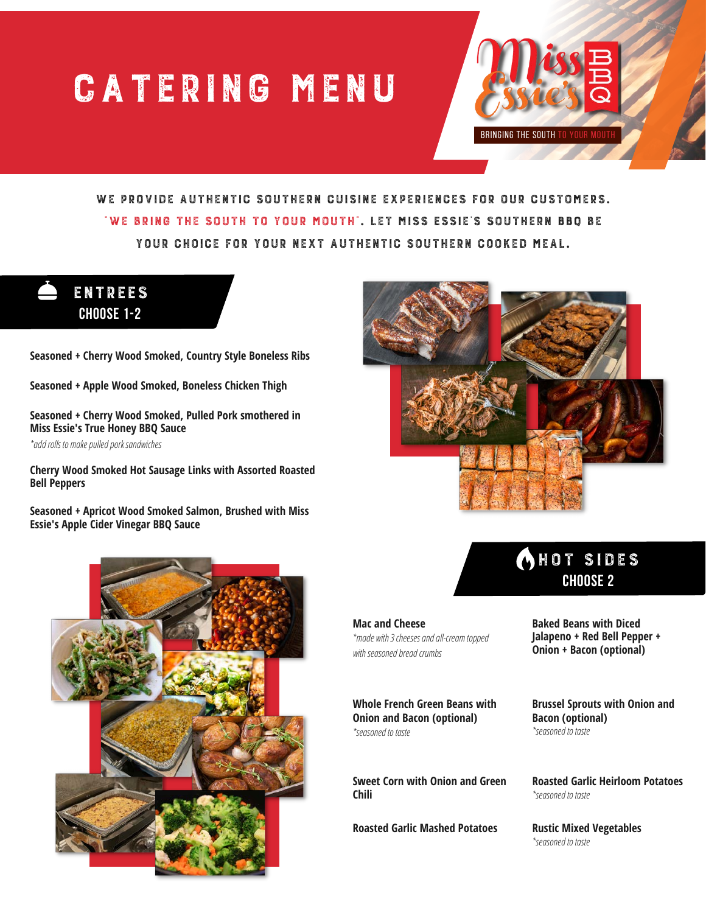## CATERING MENU



WE PROVIDE AUTHENTIC SOUTHERN CUISINE EXPERIENCES FOR OUR CUSTOMERS. "We bring the south to your mouth". Let Miss Essie's Southern BBQ be your choice for your next authentic southern cooked meal.



**Seasoned + Cherry Wood Smoked, Country Style Boneless Ribs**

**Seasoned + Apple Wood Smoked, Boneless Chicken Thigh**

**Seasoned + Cherry Wood Smoked, Pulled Pork smothered in Miss Essie's True Honey BBQ Sauce**

*\*add rolls to make pulled pork sandwiches*

**Cherry Wood Smoked Hot Sausage Links with Assorted Roasted Bell Peppers**

**Seasoned + Apricot Wood Smoked Salmon, Brushed with Miss Essie's Apple Cider Vinegar BBQ Sauce**







**Mac and Cheese** *\*made with 3 cheeses and all-cream topped with seasoned bread crumbs*

**Whole French Green Beans with Onion and Bacon (optional)** *\*seasoned to taste*

**Sweet Corn with Onion and Green Chili**

**Roasted Garlic Mashed Potatoes**

**Baked Beans with Diced Jalapeno + Red Bell Pepper + Onion + Bacon (optional)**

**Brussel Sprouts with Onion and Bacon (optional)** *\*seasoned to taste*

**Roasted Garlic Heirloom Potatoes** *\*seasoned to taste*

**Rustic Mixed Vegetables** *\*seasoned to taste*